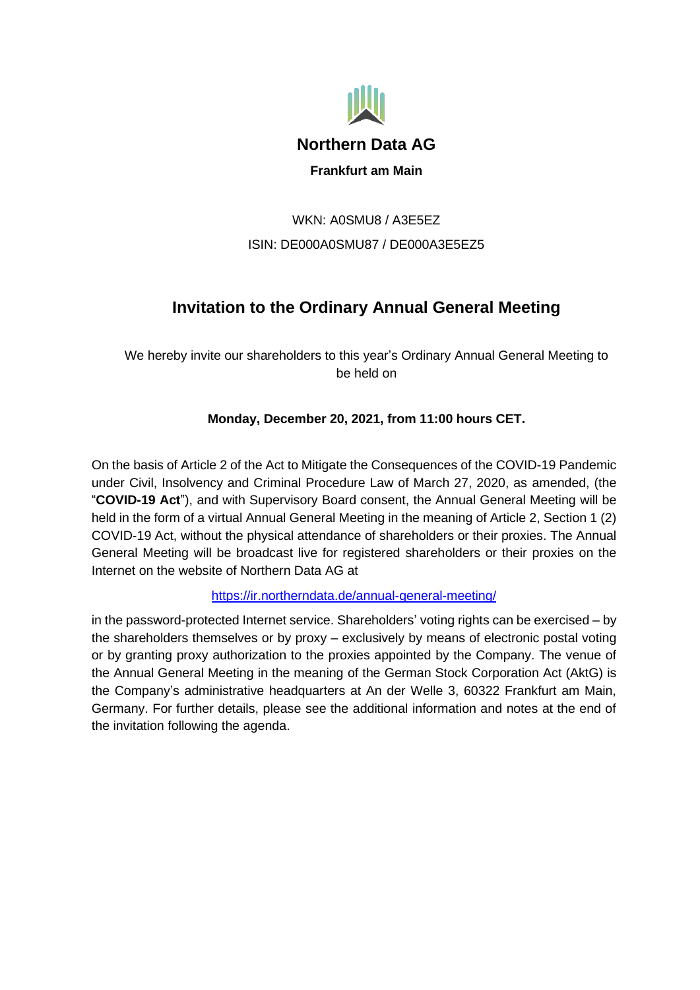

# WKN: A0SMU8 / A3E5EZ ISIN: DE000A0SMU87 / DE000A3E5EZ5

# **Invitation to the Ordinary Annual General Meeting**

We hereby invite our shareholders to this year's Ordinary Annual General Meeting to be held on

# **Monday, December 20, 2021, from 11:00 hours CET.**

On the basis of Article 2 of the Act to Mitigate the Consequences of the COVID-19 Pandemic under Civil, Insolvency and Criminal Procedure Law of March 27, 2020, as amended, (the "**COVID-19 Act**"), and with Supervisory Board consent, the Annual General Meeting will be held in the form of a virtual Annual General Meeting in the meaning of Article 2, Section 1 (2) COVID-19 Act, without the physical attendance of shareholders or their proxies. The Annual General Meeting will be broadcast live for registered shareholders or their proxies on the Internet on the website of Northern Data AG at

<https://ir.northerndata.de/annual-general-meeting/>

in the password-protected Internet service. Shareholders' voting rights can be exercised – by the shareholders themselves or by proxy – exclusively by means of electronic postal voting or by granting proxy authorization to the proxies appointed by the Company. The venue of the Annual General Meeting in the meaning of the German Stock Corporation Act (AktG) is the Company's administrative headquarters at An der Welle 3, 60322 Frankfurt am Main, Germany. For further details, please see the additional information and notes at the end of the invitation following the agenda.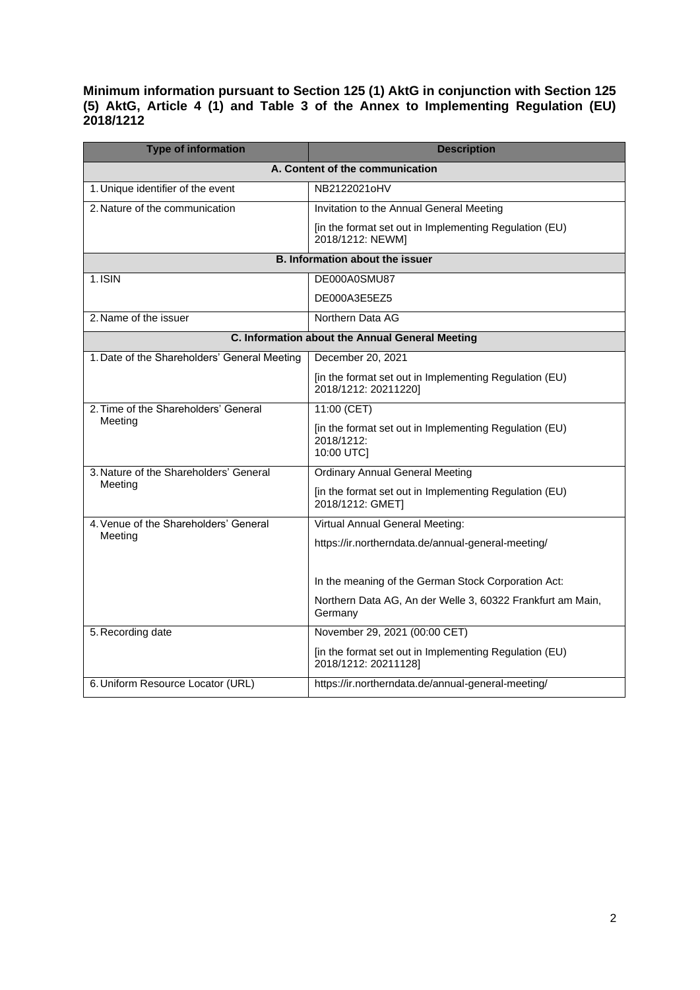**Minimum information pursuant to Section 125 (1) AktG in conjunction with Section 125 (5) AktG, Article 4 (1) and Table 3 of the Annex to Implementing Regulation (EU) 2018/1212** 

| <b>Type of information</b>                       | <b>Description</b>                                                                 |
|--------------------------------------------------|------------------------------------------------------------------------------------|
| A. Content of the communication                  |                                                                                    |
| 1. Unique identifier of the event                | NB2122021oHV                                                                       |
| 2. Nature of the communication                   | Invitation to the Annual General Meeting                                           |
|                                                  | [in the format set out in Implementing Regulation (EU)<br>2018/1212: NEWM]         |
| <b>B. Information about the issuer</b>           |                                                                                    |
| 1.ISIN                                           | DE000A0SMU87                                                                       |
|                                                  | DE000A3E5EZ5                                                                       |
| 2. Name of the issuer                            | Northern Data AG                                                                   |
| C. Information about the Annual General Meeting  |                                                                                    |
| 1. Date of the Shareholders' General Meeting     | December 20, 2021                                                                  |
|                                                  | [in the format set out in Implementing Regulation (EU)<br>2018/1212: 20211220]     |
| 2. Time of the Shareholders' General<br>Meeting  | 11:00 (CET)                                                                        |
|                                                  | [in the format set out in Implementing Regulation (EU)<br>2018/1212:<br>10:00 UTC] |
| 3. Nature of the Shareholders' General           | <b>Ordinary Annual General Meeting</b>                                             |
| Meeting                                          | [in the format set out in Implementing Regulation (EU)<br>2018/1212: GMET]         |
| 4. Venue of the Shareholders' General<br>Meeting | Virtual Annual General Meeting:                                                    |
|                                                  | https://ir.northerndata.de/annual-general-meeting/                                 |
|                                                  | In the meaning of the German Stock Corporation Act:                                |
|                                                  | Northern Data AG, An der Welle 3, 60322 Frankfurt am Main,<br>Germany              |
| 5. Recording date                                | November 29, 2021 (00:00 CET)                                                      |
|                                                  | [in the format set out in Implementing Regulation (EU)<br>2018/1212: 20211128]     |
| 6. Uniform Resource Locator (URL)                | https://ir.northerndata.de/annual-general-meeting/                                 |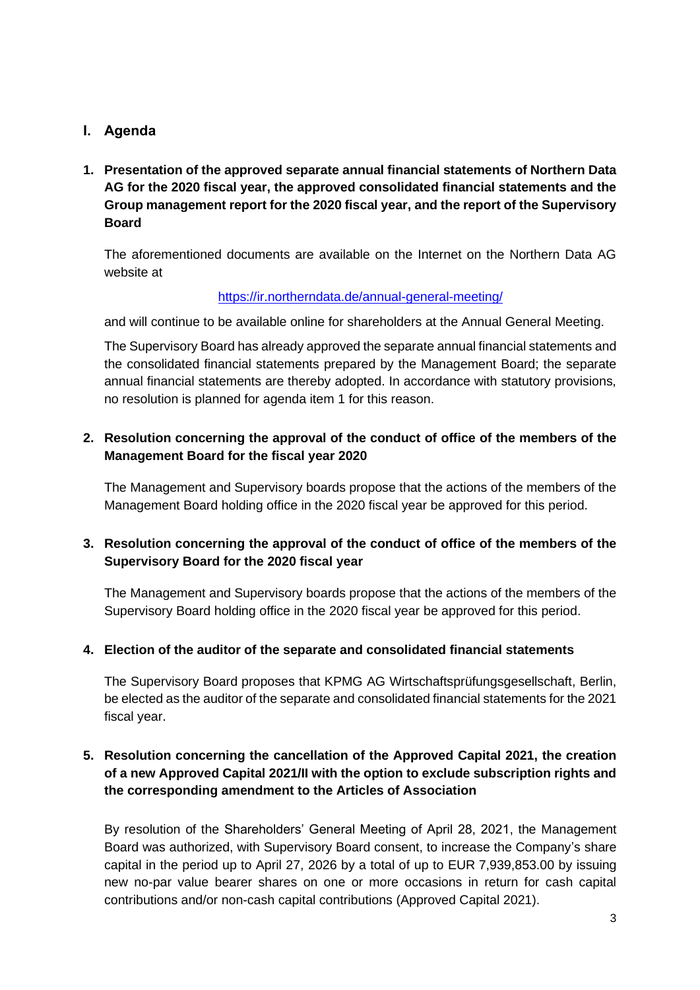## **I. Agenda**

**1. Presentation of the approved separate annual financial statements of Northern Data AG for the 2020 fiscal year, the approved consolidated financial statements and the Group management report for the 2020 fiscal year, and the report of the Supervisory Board**

The aforementioned documents are available on the Internet on the Northern Data AG website at

### <https://ir.northerndata.de/annual-general-meeting/>

and will continue to be available online for shareholders at the Annual General Meeting.

The Supervisory Board has already approved the separate annual financial statements and the consolidated financial statements prepared by the Management Board; the separate annual financial statements are thereby adopted. In accordance with statutory provisions, no resolution is planned for agenda item 1 for this reason.

## **2. Resolution concerning the approval of the conduct of office of the members of the Management Board for the fiscal year 2020**

The Management and Supervisory boards propose that the actions of the members of the Management Board holding office in the 2020 fiscal year be approved for this period.

## **3. Resolution concerning the approval of the conduct of office of the members of the Supervisory Board for the 2020 fiscal year**

The Management and Supervisory boards propose that the actions of the members of the Supervisory Board holding office in the 2020 fiscal year be approved for this period.

## **4. Election of the auditor of the separate and consolidated financial statements**

The Supervisory Board proposes that KPMG AG Wirtschaftsprüfungsgesellschaft, Berlin, be elected as the auditor of the separate and consolidated financial statements for the 2021 fiscal year.

## **5. Resolution concerning the cancellation of the Approved Capital 2021, the creation of a new Approved Capital 2021/II with the option to exclude subscription rights and the corresponding amendment to the Articles of Association**

By resolution of the Shareholders' General Meeting of April 28, 2021, the Management Board was authorized, with Supervisory Board consent, to increase the Company's share capital in the period up to April 27, 2026 by a total of up to EUR 7,939,853.00 by issuing new no-par value bearer shares on one or more occasions in return for cash capital contributions and/or non-cash capital contributions (Approved Capital 2021).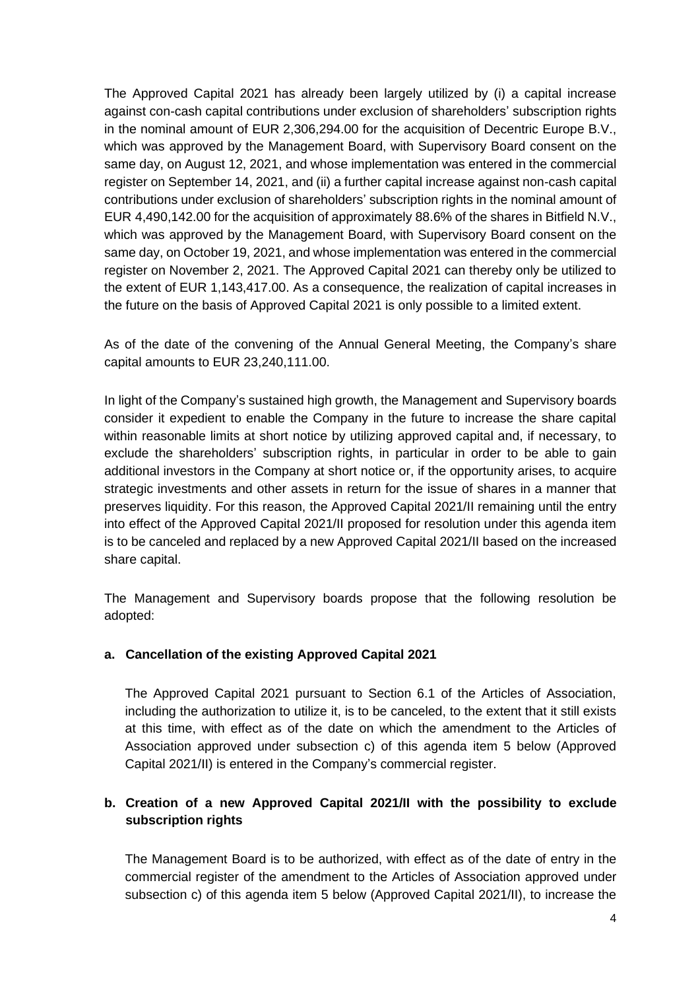The Approved Capital 2021 has already been largely utilized by (i) a capital increase against con-cash capital contributions under exclusion of shareholders' subscription rights in the nominal amount of EUR 2,306,294.00 for the acquisition of Decentric Europe B.V., which was approved by the Management Board, with Supervisory Board consent on the same day, on August 12, 2021, and whose implementation was entered in the commercial register on September 14, 2021, and (ii) a further capital increase against non-cash capital contributions under exclusion of shareholders' subscription rights in the nominal amount of EUR 4,490,142.00 for the acquisition of approximately 88.6% of the shares in Bitfield N.V., which was approved by the Management Board, with Supervisory Board consent on the same day, on October 19, 2021, and whose implementation was entered in the commercial register on November 2, 2021. The Approved Capital 2021 can thereby only be utilized to the extent of EUR 1,143,417.00. As a consequence, the realization of capital increases in the future on the basis of Approved Capital 2021 is only possible to a limited extent.

As of the date of the convening of the Annual General Meeting, the Company's share capital amounts to EUR 23,240,111.00.

In light of the Company's sustained high growth, the Management and Supervisory boards consider it expedient to enable the Company in the future to increase the share capital within reasonable limits at short notice by utilizing approved capital and, if necessary, to exclude the shareholders' subscription rights, in particular in order to be able to gain additional investors in the Company at short notice or, if the opportunity arises, to acquire strategic investments and other assets in return for the issue of shares in a manner that preserves liquidity. For this reason, the Approved Capital 2021/II remaining until the entry into effect of the Approved Capital 2021/II proposed for resolution under this agenda item is to be canceled and replaced by a new Approved Capital 2021/II based on the increased share capital.

The Management and Supervisory boards propose that the following resolution be adopted:

#### **a. Cancellation of the existing Approved Capital 2021**

The Approved Capital 2021 pursuant to Section 6.1 of the Articles of Association, including the authorization to utilize it, is to be canceled, to the extent that it still exists at this time, with effect as of the date on which the amendment to the Articles of Association approved under subsection c) of this agenda item 5 below (Approved Capital 2021/II) is entered in the Company's commercial register.

## **b. Creation of a new Approved Capital 2021/II with the possibility to exclude subscription rights**

The Management Board is to be authorized, with effect as of the date of entry in the commercial register of the amendment to the Articles of Association approved under subsection c) of this agenda item 5 below (Approved Capital 2021/II), to increase the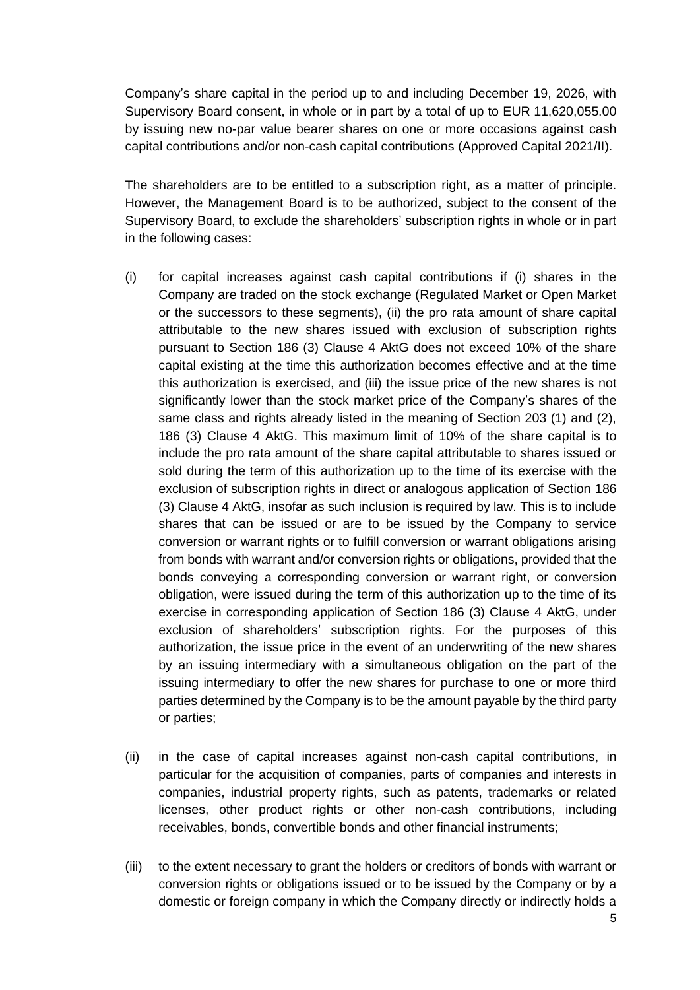Company's share capital in the period up to and including December 19, 2026, with Supervisory Board consent, in whole or in part by a total of up to EUR 11,620,055.00 by issuing new no-par value bearer shares on one or more occasions against cash capital contributions and/or non-cash capital contributions (Approved Capital 2021/II).

The shareholders are to be entitled to a subscription right, as a matter of principle. However, the Management Board is to be authorized, subject to the consent of the Supervisory Board, to exclude the shareholders' subscription rights in whole or in part in the following cases:

- (i) for capital increases against cash capital contributions if (i) shares in the Company are traded on the stock exchange (Regulated Market or Open Market or the successors to these segments), (ii) the pro rata amount of share capital attributable to the new shares issued with exclusion of subscription rights pursuant to Section 186 (3) Clause 4 AktG does not exceed 10% of the share capital existing at the time this authorization becomes effective and at the time this authorization is exercised, and (iii) the issue price of the new shares is not significantly lower than the stock market price of the Company's shares of the same class and rights already listed in the meaning of Section 203 (1) and (2), 186 (3) Clause 4 AktG. This maximum limit of 10% of the share capital is to include the pro rata amount of the share capital attributable to shares issued or sold during the term of this authorization up to the time of its exercise with the exclusion of subscription rights in direct or analogous application of Section 186 (3) Clause 4 AktG, insofar as such inclusion is required by law. This is to include shares that can be issued or are to be issued by the Company to service conversion or warrant rights or to fulfill conversion or warrant obligations arising from bonds with warrant and/or conversion rights or obligations, provided that the bonds conveying a corresponding conversion or warrant right, or conversion obligation, were issued during the term of this authorization up to the time of its exercise in corresponding application of Section 186 (3) Clause 4 AktG, under exclusion of shareholders' subscription rights. For the purposes of this authorization, the issue price in the event of an underwriting of the new shares by an issuing intermediary with a simultaneous obligation on the part of the issuing intermediary to offer the new shares for purchase to one or more third parties determined by the Company is to be the amount payable by the third party or parties;
- (ii) in the case of capital increases against non-cash capital contributions, in particular for the acquisition of companies, parts of companies and interests in companies, industrial property rights, such as patents, trademarks or related licenses, other product rights or other non-cash contributions, including receivables, bonds, convertible bonds and other financial instruments;
- (iii) to the extent necessary to grant the holders or creditors of bonds with warrant or conversion rights or obligations issued or to be issued by the Company or by a domestic or foreign company in which the Company directly or indirectly holds a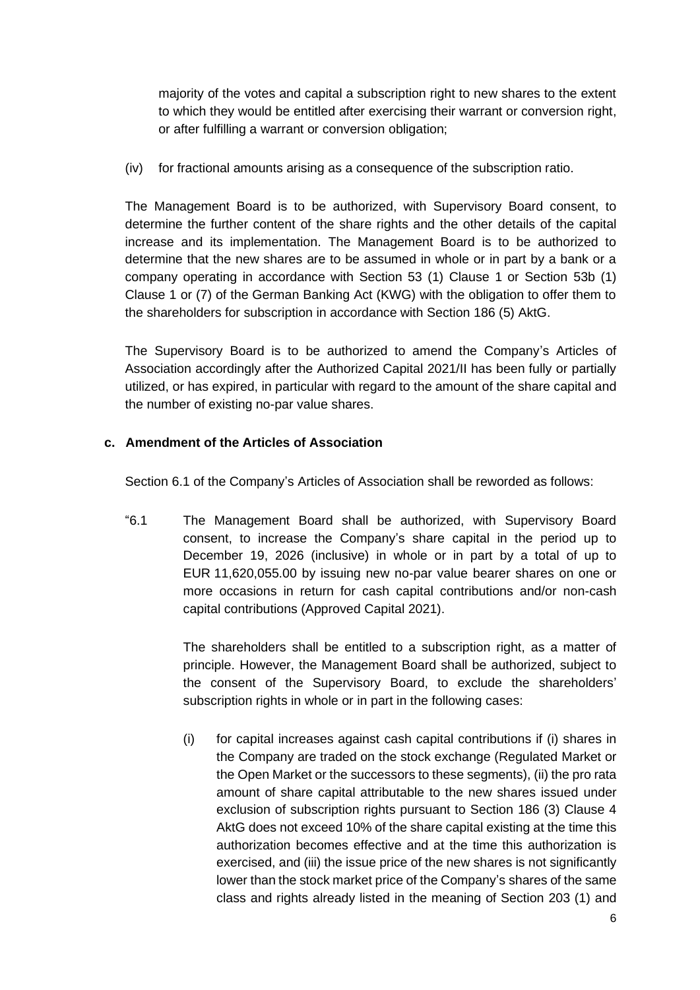majority of the votes and capital a subscription right to new shares to the extent to which they would be entitled after exercising their warrant or conversion right, or after fulfilling a warrant or conversion obligation;

(iv) for fractional amounts arising as a consequence of the subscription ratio.

The Management Board is to be authorized, with Supervisory Board consent, to determine the further content of the share rights and the other details of the capital increase and its implementation. The Management Board is to be authorized to determine that the new shares are to be assumed in whole or in part by a bank or a company operating in accordance with Section 53 (1) Clause 1 or Section 53b (1) Clause 1 or (7) of the German Banking Act (KWG) with the obligation to offer them to the shareholders for subscription in accordance with Section 186 (5) AktG.

The Supervisory Board is to be authorized to amend the Company's Articles of Association accordingly after the Authorized Capital 2021/II has been fully or partially utilized, or has expired, in particular with regard to the amount of the share capital and the number of existing no-par value shares.

## **c. Amendment of the Articles of Association**

Section 6.1 of the Company's Articles of Association shall be reworded as follows:

"6.1 The Management Board shall be authorized, with Supervisory Board consent, to increase the Company's share capital in the period up to December 19, 2026 (inclusive) in whole or in part by a total of up to EUR 11,620,055.00 by issuing new no-par value bearer shares on one or more occasions in return for cash capital contributions and/or non-cash capital contributions (Approved Capital 2021).

> The shareholders shall be entitled to a subscription right, as a matter of principle. However, the Management Board shall be authorized, subject to the consent of the Supervisory Board, to exclude the shareholders' subscription rights in whole or in part in the following cases:

> (i) for capital increases against cash capital contributions if (i) shares in the Company are traded on the stock exchange (Regulated Market or the Open Market or the successors to these segments), (ii) the pro rata amount of share capital attributable to the new shares issued under exclusion of subscription rights pursuant to Section 186 (3) Clause 4 AktG does not exceed 10% of the share capital existing at the time this authorization becomes effective and at the time this authorization is exercised, and (iii) the issue price of the new shares is not significantly lower than the stock market price of the Company's shares of the same class and rights already listed in the meaning of Section 203 (1) and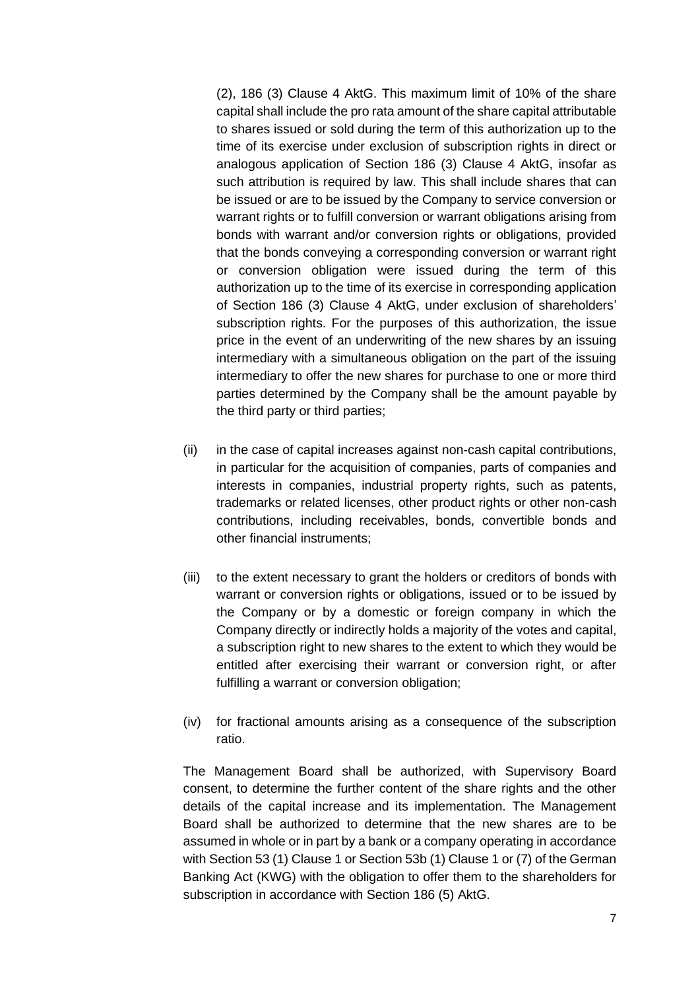(2), 186 (3) Clause 4 AktG. This maximum limit of 10% of the share capital shall include the pro rata amount of the share capital attributable to shares issued or sold during the term of this authorization up to the time of its exercise under exclusion of subscription rights in direct or analogous application of Section 186 (3) Clause 4 AktG, insofar as such attribution is required by law. This shall include shares that can be issued or are to be issued by the Company to service conversion or warrant rights or to fulfill conversion or warrant obligations arising from bonds with warrant and/or conversion rights or obligations, provided that the bonds conveying a corresponding conversion or warrant right or conversion obligation were issued during the term of this authorization up to the time of its exercise in corresponding application of Section 186 (3) Clause 4 AktG, under exclusion of shareholders' subscription rights. For the purposes of this authorization, the issue price in the event of an underwriting of the new shares by an issuing intermediary with a simultaneous obligation on the part of the issuing intermediary to offer the new shares for purchase to one or more third parties determined by the Company shall be the amount payable by the third party or third parties;

- (ii) in the case of capital increases against non-cash capital contributions, in particular for the acquisition of companies, parts of companies and interests in companies, industrial property rights, such as patents, trademarks or related licenses, other product rights or other non-cash contributions, including receivables, bonds, convertible bonds and other financial instruments;
- (iii) to the extent necessary to grant the holders or creditors of bonds with warrant or conversion rights or obligations, issued or to be issued by the Company or by a domestic or foreign company in which the Company directly or indirectly holds a majority of the votes and capital, a subscription right to new shares to the extent to which they would be entitled after exercising their warrant or conversion right, or after fulfilling a warrant or conversion obligation;
- (iv) for fractional amounts arising as a consequence of the subscription ratio.

The Management Board shall be authorized, with Supervisory Board consent, to determine the further content of the share rights and the other details of the capital increase and its implementation. The Management Board shall be authorized to determine that the new shares are to be assumed in whole or in part by a bank or a company operating in accordance with Section 53 (1) Clause 1 or Section 53b (1) Clause 1 or (7) of the German Banking Act (KWG) with the obligation to offer them to the shareholders for subscription in accordance with Section 186 (5) AktG.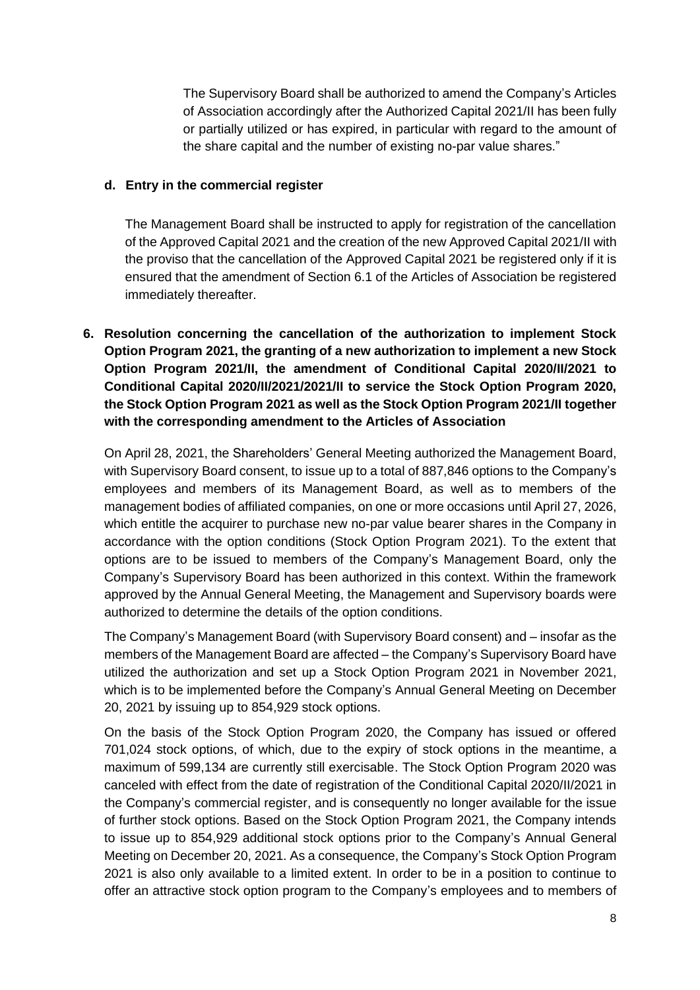The Supervisory Board shall be authorized to amend the Company's Articles of Association accordingly after the Authorized Capital 2021/II has been fully or partially utilized or has expired, in particular with regard to the amount of the share capital and the number of existing no-par value shares."

#### **d. Entry in the commercial register**

The Management Board shall be instructed to apply for registration of the cancellation of the Approved Capital 2021 and the creation of the new Approved Capital 2021/II with the proviso that the cancellation of the Approved Capital 2021 be registered only if it is ensured that the amendment of Section 6.1 of the Articles of Association be registered immediately thereafter.

**6. Resolution concerning the cancellation of the authorization to implement Stock Option Program 2021, the granting of a new authorization to implement a new Stock Option Program 2021/II, the amendment of Conditional Capital 2020/II/2021 to Conditional Capital 2020/II/2021/2021/II to service the Stock Option Program 2020, the Stock Option Program 2021 as well as the Stock Option Program 2021/II together with the corresponding amendment to the Articles of Association**

On April 28, 2021, the Shareholders' General Meeting authorized the Management Board, with Supervisory Board consent, to issue up to a total of 887,846 options to the Company's employees and members of its Management Board, as well as to members of the management bodies of affiliated companies, on one or more occasions until April 27, 2026, which entitle the acquirer to purchase new no-par value bearer shares in the Company in accordance with the option conditions (Stock Option Program 2021). To the extent that options are to be issued to members of the Company's Management Board, only the Company's Supervisory Board has been authorized in this context. Within the framework approved by the Annual General Meeting, the Management and Supervisory boards were authorized to determine the details of the option conditions.

The Company's Management Board (with Supervisory Board consent) and – insofar as the members of the Management Board are affected – the Company's Supervisory Board have utilized the authorization and set up a Stock Option Program 2021 in November 2021, which is to be implemented before the Company's Annual General Meeting on December 20, 2021 by issuing up to 854,929 stock options.

On the basis of the Stock Option Program 2020, the Company has issued or offered 701,024 stock options, of which, due to the expiry of stock options in the meantime, a maximum of 599,134 are currently still exercisable. The Stock Option Program 2020 was canceled with effect from the date of registration of the Conditional Capital 2020/II/2021 in the Company's commercial register, and is consequently no longer available for the issue of further stock options. Based on the Stock Option Program 2021, the Company intends to issue up to 854,929 additional stock options prior to the Company's Annual General Meeting on December 20, 2021. As a consequence, the Company's Stock Option Program 2021 is also only available to a limited extent. In order to be in a position to continue to offer an attractive stock option program to the Company's employees and to members of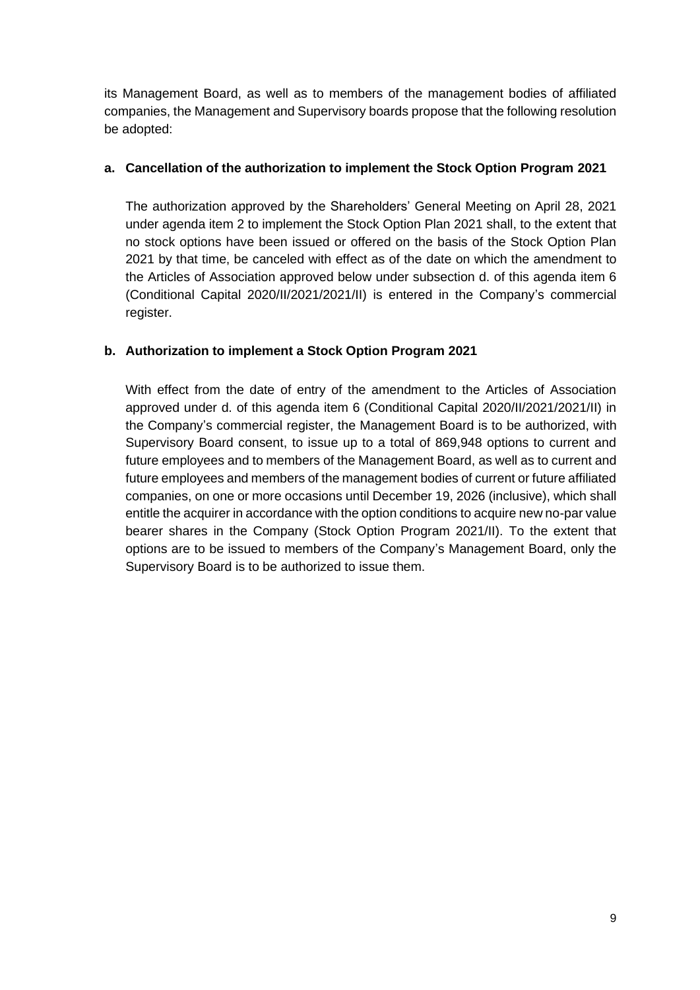its Management Board, as well as to members of the management bodies of affiliated companies, the Management and Supervisory boards propose that the following resolution be adopted:

## **a. Cancellation of the authorization to implement the Stock Option Program 2021**

The authorization approved by the Shareholders' General Meeting on April 28, 2021 under agenda item 2 to implement the Stock Option Plan 2021 shall, to the extent that no stock options have been issued or offered on the basis of the Stock Option Plan 2021 by that time, be canceled with effect as of the date on which the amendment to the Articles of Association approved below under subsection d. of this agenda item 6 (Conditional Capital 2020/II/2021/2021/II) is entered in the Company's commercial register.

## **b. Authorization to implement a Stock Option Program 2021**

With effect from the date of entry of the amendment to the Articles of Association approved under d. of this agenda item 6 (Conditional Capital 2020/II/2021/2021/II) in the Company's commercial register, the Management Board is to be authorized, with Supervisory Board consent, to issue up to a total of 869,948 options to current and future employees and to members of the Management Board, as well as to current and future employees and members of the management bodies of current or future affiliated companies, on one or more occasions until December 19, 2026 (inclusive), which shall entitle the acquirer in accordance with the option conditions to acquire new no-par value bearer shares in the Company (Stock Option Program 2021/II). To the extent that options are to be issued to members of the Company's Management Board, only the Supervisory Board is to be authorized to issue them.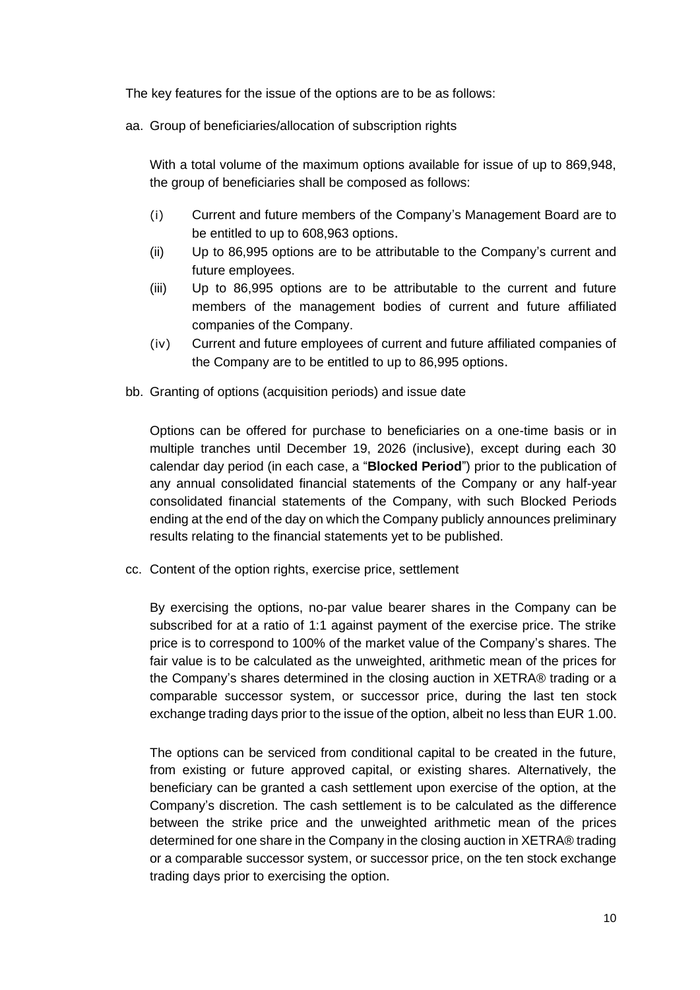The key features for the issue of the options are to be as follows:

aa. Group of beneficiaries/allocation of subscription rights

With a total volume of the maximum options available for issue of up to 869,948, the group of beneficiaries shall be composed as follows:

- (i) Current and future members of the Company's Management Board are to be entitled to up to 608,963 options.
- (ii) Up to 86,995 options are to be attributable to the Company's current and future employees.
- (iii) Up to 86,995 options are to be attributable to the current and future members of the management bodies of current and future affiliated companies of the Company.
- (iv) Current and future employees of current and future affiliated companies of the Company are to be entitled to up to 86,995 options.
- bb. Granting of options (acquisition periods) and issue date

Options can be offered for purchase to beneficiaries on a one-time basis or in multiple tranches until December 19, 2026 (inclusive), except during each 30 calendar day period (in each case, a "**Blocked Period**") prior to the publication of any annual consolidated financial statements of the Company or any half-year consolidated financial statements of the Company, with such Blocked Periods ending at the end of the day on which the Company publicly announces preliminary results relating to the financial statements yet to be published.

cc. Content of the option rights, exercise price, settlement

By exercising the options, no-par value bearer shares in the Company can be subscribed for at a ratio of 1:1 against payment of the exercise price. The strike price is to correspond to 100% of the market value of the Company's shares. The fair value is to be calculated as the unweighted, arithmetic mean of the prices for the Company's shares determined in the closing auction in XETRA® trading or a comparable successor system, or successor price, during the last ten stock exchange trading days prior to the issue of the option, albeit no less than EUR 1.00.

The options can be serviced from conditional capital to be created in the future, from existing or future approved capital, or existing shares. Alternatively, the beneficiary can be granted a cash settlement upon exercise of the option, at the Company's discretion. The cash settlement is to be calculated as the difference between the strike price and the unweighted arithmetic mean of the prices determined for one share in the Company in the closing auction in XETRA® trading or a comparable successor system, or successor price, on the ten stock exchange trading days prior to exercising the option.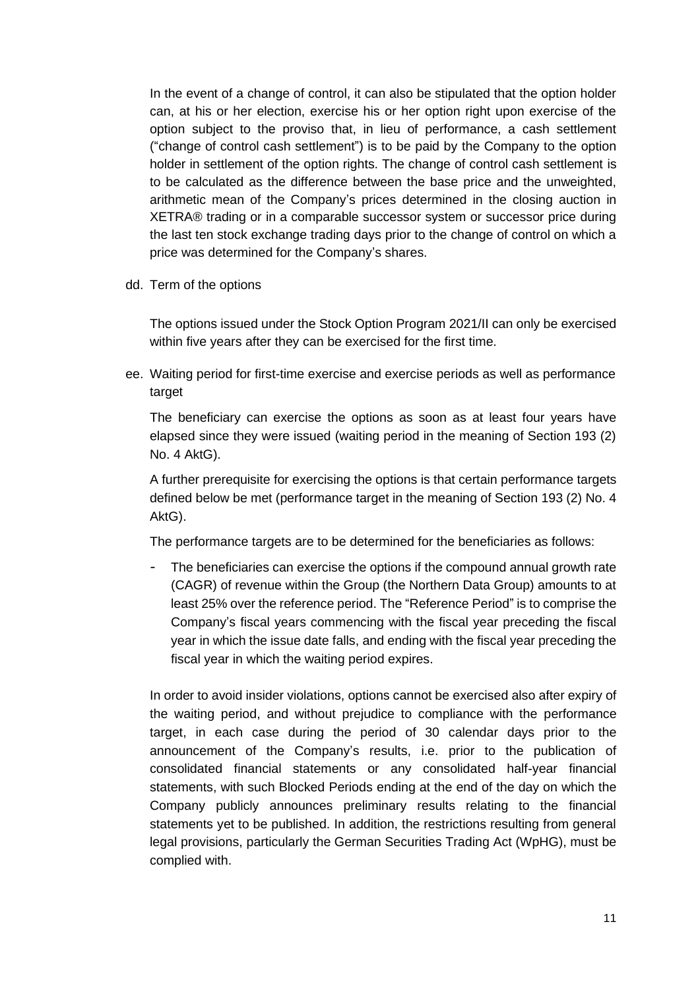In the event of a change of control, it can also be stipulated that the option holder can, at his or her election, exercise his or her option right upon exercise of the option subject to the proviso that, in lieu of performance, a cash settlement ("change of control cash settlement") is to be paid by the Company to the option holder in settlement of the option rights. The change of control cash settlement is to be calculated as the difference between the base price and the unweighted, arithmetic mean of the Company's prices determined in the closing auction in XETRA® trading or in a comparable successor system or successor price during the last ten stock exchange trading days prior to the change of control on which a price was determined for the Company's shares.

dd. Term of the options

The options issued under the Stock Option Program 2021/II can only be exercised within five years after they can be exercised for the first time.

ee. Waiting period for first-time exercise and exercise periods as well as performance target

The beneficiary can exercise the options as soon as at least four years have elapsed since they were issued (waiting period in the meaning of Section 193 (2) No. 4 AktG).

A further prerequisite for exercising the options is that certain performance targets defined below be met (performance target in the meaning of Section 193 (2) No. 4 AktG).

The performance targets are to be determined for the beneficiaries as follows:

The beneficiaries can exercise the options if the compound annual growth rate (CAGR) of revenue within the Group (the Northern Data Group) amounts to at least 25% over the reference period. The "Reference Period" is to comprise the Company's fiscal years commencing with the fiscal year preceding the fiscal year in which the issue date falls, and ending with the fiscal year preceding the fiscal year in which the waiting period expires.

In order to avoid insider violations, options cannot be exercised also after expiry of the waiting period, and without prejudice to compliance with the performance target, in each case during the period of 30 calendar days prior to the announcement of the Company's results, i.e. prior to the publication of consolidated financial statements or any consolidated half-year financial statements, with such Blocked Periods ending at the end of the day on which the Company publicly announces preliminary results relating to the financial statements yet to be published. In addition, the restrictions resulting from general legal provisions, particularly the German Securities Trading Act (WpHG), must be complied with.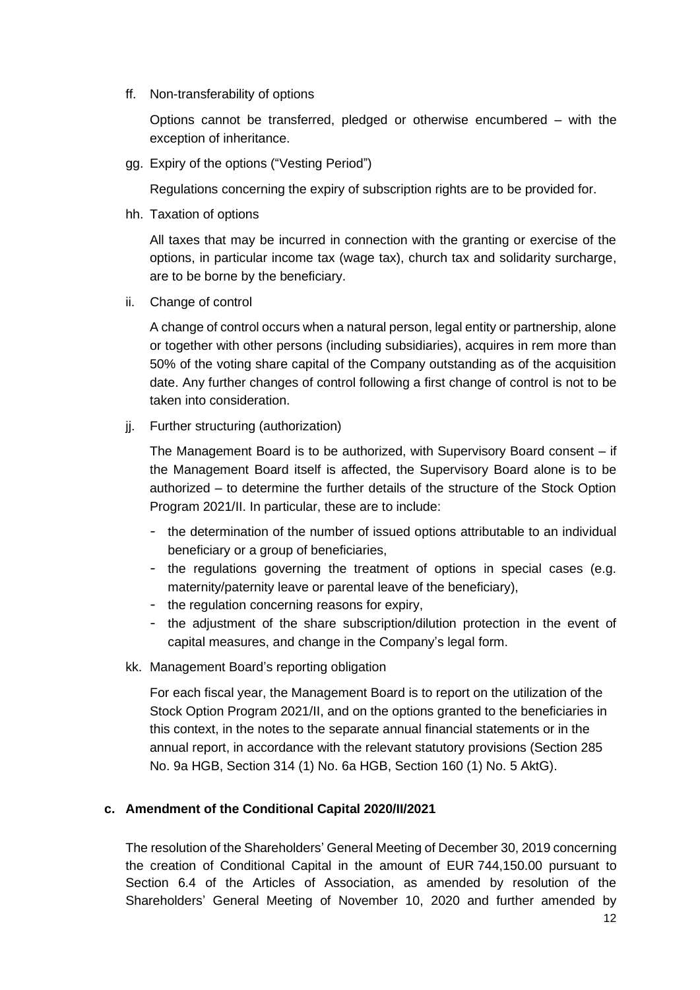ff. Non-transferability of options

Options cannot be transferred, pledged or otherwise encumbered – with the exception of inheritance.

gg. Expiry of the options ("Vesting Period")

Regulations concerning the expiry of subscription rights are to be provided for.

hh. Taxation of options

All taxes that may be incurred in connection with the granting or exercise of the options, in particular income tax (wage tax), church tax and solidarity surcharge, are to be borne by the beneficiary.

ii. Change of control

A change of control occurs when a natural person, legal entity or partnership, alone or together with other persons (including subsidiaries), acquires in rem more than 50% of the voting share capital of the Company outstanding as of the acquisition date. Any further changes of control following a first change of control is not to be taken into consideration.

jj. Further structuring (authorization)

The Management Board is to be authorized, with Supervisory Board consent – if the Management Board itself is affected, the Supervisory Board alone is to be authorized – to determine the further details of the structure of the Stock Option Program 2021/II. In particular, these are to include:

- the determination of the number of issued options attributable to an individual beneficiary or a group of beneficiaries,
- the regulations governing the treatment of options in special cases (e.g. maternity/paternity leave or parental leave of the beneficiary),
- the regulation concerning reasons for expiry,
- the adjustment of the share subscription/dilution protection in the event of capital measures, and change in the Company's legal form.
- kk. Management Board's reporting obligation

For each fiscal year, the Management Board is to report on the utilization of the Stock Option Program 2021/II, and on the options granted to the beneficiaries in this context, in the notes to the separate annual financial statements or in the annual report, in accordance with the relevant statutory provisions (Section 285 No. 9a HGB, Section 314 (1) No. 6a HGB, Section 160 (1) No. 5 AktG).

## **c. Amendment of the Conditional Capital 2020/II/2021**

The resolution of the Shareholders' General Meeting of December 30, 2019 concerning the creation of Conditional Capital in the amount of EUR 744,150.00 pursuant to Section 6.4 of the Articles of Association, as amended by resolution of the Shareholders' General Meeting of November 10, 2020 and further amended by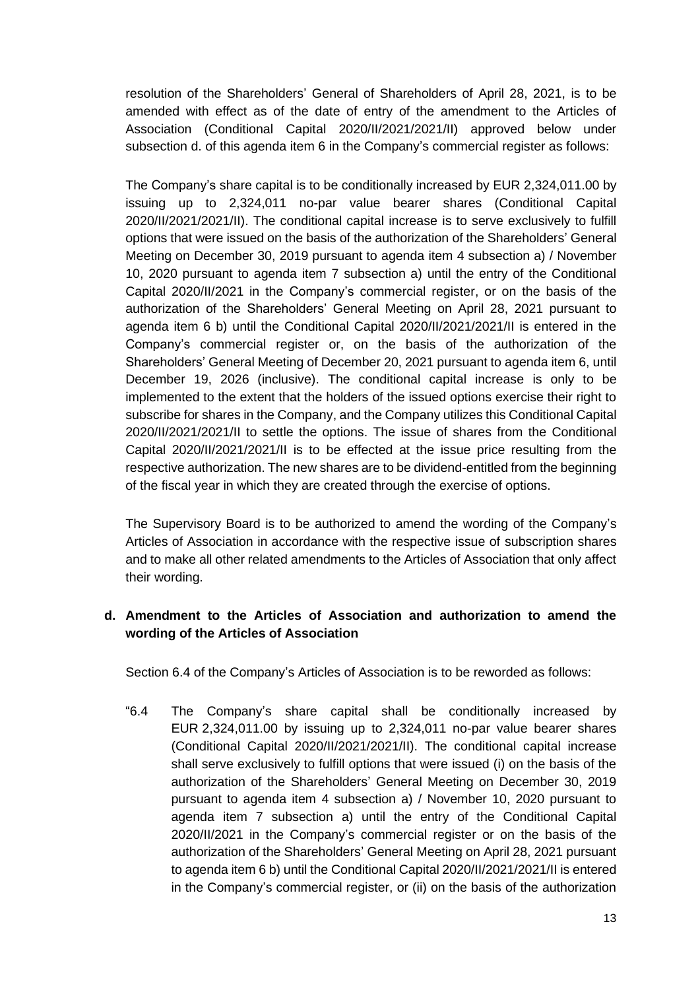resolution of the Shareholders' General of Shareholders of April 28, 2021, is to be amended with effect as of the date of entry of the amendment to the Articles of Association (Conditional Capital 2020/II/2021/2021/II) approved below under subsection d. of this agenda item 6 in the Company's commercial register as follows:

The Company's share capital is to be conditionally increased by EUR 2,324,011.00 by issuing up to 2,324,011 no-par value bearer shares (Conditional Capital 2020/II/2021/2021/II). The conditional capital increase is to serve exclusively to fulfill options that were issued on the basis of the authorization of the Shareholders' General Meeting on December 30, 2019 pursuant to agenda item 4 subsection a) / November 10, 2020 pursuant to agenda item 7 subsection a) until the entry of the Conditional Capital 2020/II/2021 in the Company's commercial register, or on the basis of the authorization of the Shareholders' General Meeting on April 28, 2021 pursuant to agenda item 6 b) until the Conditional Capital 2020/II/2021/2021/II is entered in the Company's commercial register or, on the basis of the authorization of the Shareholders' General Meeting of December 20, 2021 pursuant to agenda item 6, until December 19, 2026 (inclusive). The conditional capital increase is only to be implemented to the extent that the holders of the issued options exercise their right to subscribe for shares in the Company, and the Company utilizes this Conditional Capital 2020/II/2021/2021/II to settle the options. The issue of shares from the Conditional Capital 2020/II/2021/2021/II is to be effected at the issue price resulting from the respective authorization. The new shares are to be dividend-entitled from the beginning of the fiscal year in which they are created through the exercise of options.

The Supervisory Board is to be authorized to amend the wording of the Company's Articles of Association in accordance with the respective issue of subscription shares and to make all other related amendments to the Articles of Association that only affect their wording.

## **d. Amendment to the Articles of Association and authorization to amend the wording of the Articles of Association**

Section 6.4 of the Company's Articles of Association is to be reworded as follows:

"6.4 The Company's share capital shall be conditionally increased by EUR 2,324,011.00 by issuing up to 2,324,011 no-par value bearer shares (Conditional Capital 2020/II/2021/2021/II). The conditional capital increase shall serve exclusively to fulfill options that were issued (i) on the basis of the authorization of the Shareholders' General Meeting on December 30, 2019 pursuant to agenda item 4 subsection a) / November 10, 2020 pursuant to agenda item 7 subsection a) until the entry of the Conditional Capital 2020/II/2021 in the Company's commercial register or on the basis of the authorization of the Shareholders' General Meeting on April 28, 2021 pursuant to agenda item 6 b) until the Conditional Capital 2020/II/2021/2021/II is entered in the Company's commercial register, or (ii) on the basis of the authorization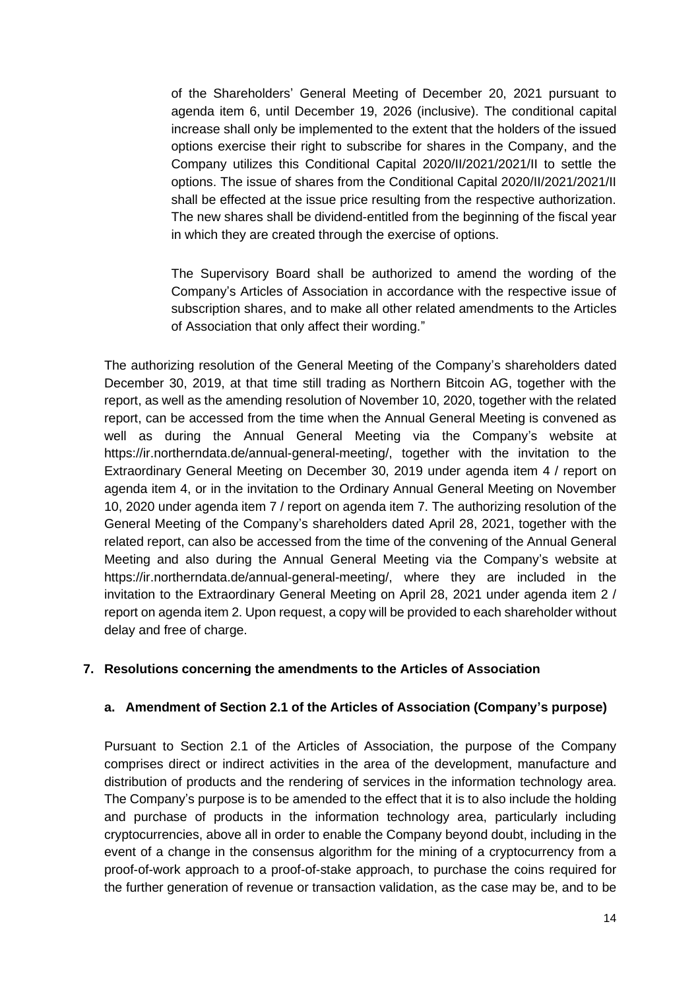of the Shareholders' General Meeting of December 20, 2021 pursuant to agenda item 6, until December 19, 2026 (inclusive). The conditional capital increase shall only be implemented to the extent that the holders of the issued options exercise their right to subscribe for shares in the Company, and the Company utilizes this Conditional Capital 2020/II/2021/2021/II to settle the options. The issue of shares from the Conditional Capital 2020/II/2021/2021/II shall be effected at the issue price resulting from the respective authorization. The new shares shall be dividend-entitled from the beginning of the fiscal year in which they are created through the exercise of options.

The Supervisory Board shall be authorized to amend the wording of the Company's Articles of Association in accordance with the respective issue of subscription shares, and to make all other related amendments to the Articles of Association that only affect their wording."

The authorizing resolution of the General Meeting of the Company's shareholders dated December 30, 2019, at that time still trading as Northern Bitcoin AG, together with the report, as well as the amending resolution of November 10, 2020, together with the related report, can be accessed from the time when the Annual General Meeting is convened as well as during the Annual General Meeting via the Company's website at https://ir.northerndata.de/annual-general-meeting/, together with the invitation to the Extraordinary General Meeting on December 30, 2019 under agenda item 4 / report on agenda item 4, or in the invitation to the Ordinary Annual General Meeting on November 10, 2020 under agenda item 7 / report on agenda item 7. The authorizing resolution of the General Meeting of the Company's shareholders dated April 28, 2021, together with the related report, can also be accessed from the time of the convening of the Annual General Meeting and also during the Annual General Meeting via the Company's website at https://ir.northerndata.de/annual-general-meeting/, where they are included in the invitation to the Extraordinary General Meeting on April 28, 2021 under agenda item 2 / report on agenda item 2. Upon request, a copy will be provided to each shareholder without delay and free of charge.

## **7. Resolutions concerning the amendments to the Articles of Association**

#### **a. Amendment of Section 2.1 of the Articles of Association (Company's purpose)**

Pursuant to Section 2.1 of the Articles of Association, the purpose of the Company comprises direct or indirect activities in the area of the development, manufacture and distribution of products and the rendering of services in the information technology area. The Company's purpose is to be amended to the effect that it is to also include the holding and purchase of products in the information technology area, particularly including cryptocurrencies, above all in order to enable the Company beyond doubt, including in the event of a change in the consensus algorithm for the mining of a cryptocurrency from a proof-of-work approach to a proof-of-stake approach, to purchase the coins required for the further generation of revenue or transaction validation, as the case may be, and to be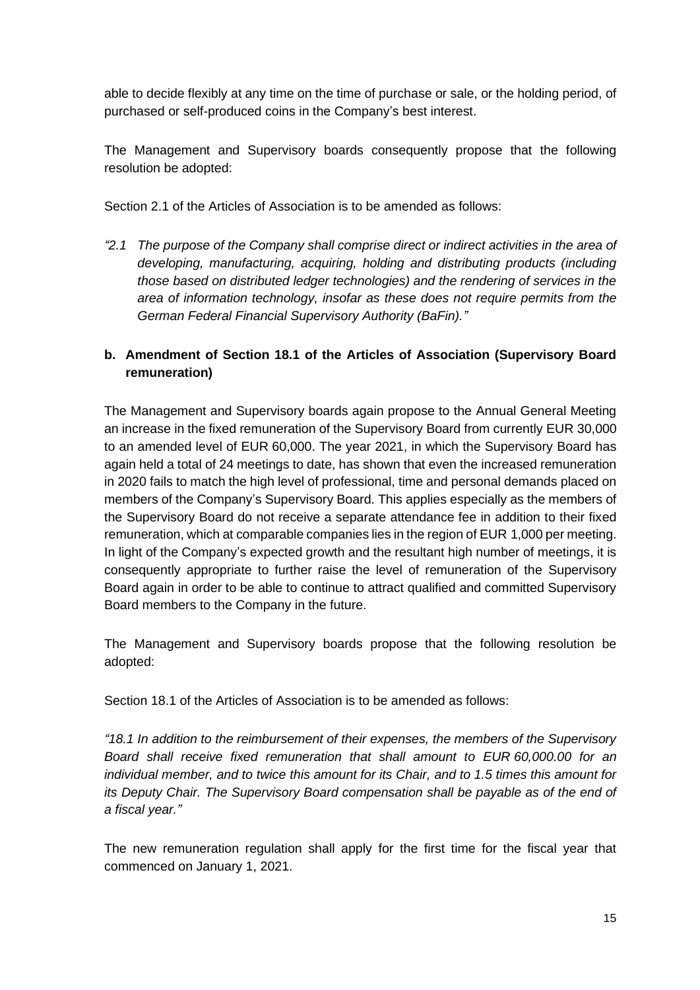able to decide flexibly at any time on the time of purchase or sale, or the holding period, of purchased or self-produced coins in the Company's best interest.

The Management and Supervisory boards consequently propose that the following resolution be adopted:

Section 2.1 of the Articles of Association is to be amended as follows:

*"2.1 The purpose of the Company shall comprise direct or indirect activities in the area of developing, manufacturing, acquiring, holding and distributing products (including those based on distributed ledger technologies) and the rendering of services in the area of information technology, insofar as these does not require permits from the German Federal Financial Supervisory Authority (BaFin)."*

# **b. Amendment of Section 18.1 of the Articles of Association (Supervisory Board remuneration)**

The Management and Supervisory boards again propose to the Annual General Meeting an increase in the fixed remuneration of the Supervisory Board from currently EUR 30,000 to an amended level of EUR 60,000. The year 2021, in which the Supervisory Board has again held a total of 24 meetings to date, has shown that even the increased remuneration in 2020 fails to match the high level of professional, time and personal demands placed on members of the Company's Supervisory Board. This applies especially as the members of the Supervisory Board do not receive a separate attendance fee in addition to their fixed remuneration, which at comparable companies lies in the region of EUR 1,000 per meeting. In light of the Company's expected growth and the resultant high number of meetings, it is consequently appropriate to further raise the level of remuneration of the Supervisory Board again in order to be able to continue to attract qualified and committed Supervisory Board members to the Company in the future.

The Management and Supervisory boards propose that the following resolution be adopted:

Section 18.1 of the Articles of Association is to be amended as follows:

*"18.1 In addition to the reimbursement of their expenses, the members of the Supervisory Board shall receive fixed remuneration that shall amount to EUR 60,000.00 for an individual member, and to twice this amount for its Chair, and to 1.5 times this amount for its Deputy Chair. The Supervisory Board compensation shall be payable as of the end of a fiscal year."*

The new remuneration regulation shall apply for the first time for the fiscal year that commenced on January 1, 2021.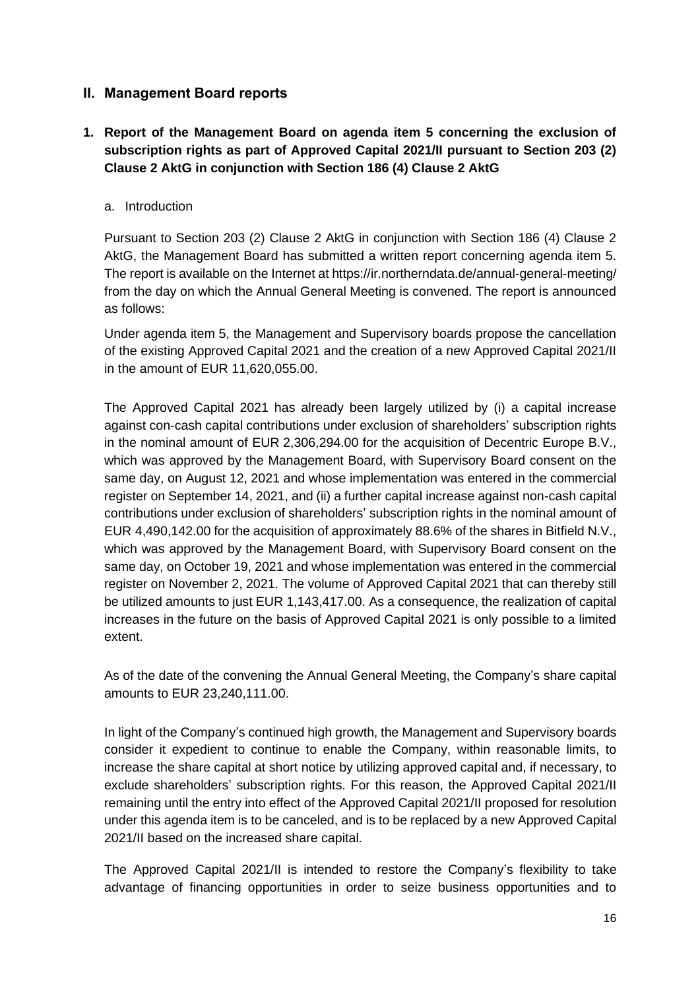## **II. Management Board reports**

## **1. Report of the Management Board on agenda item 5 concerning the exclusion of subscription rights as part of Approved Capital 2021/II pursuant to Section 203 (2) Clause 2 AktG in conjunction with Section 186 (4) Clause 2 AktG**

#### a. Introduction

Pursuant to Section 203 (2) Clause 2 AktG in conjunction with Section 186 (4) Clause 2 AktG, the Management Board has submitted a written report concerning agenda item 5. The report is available on the Internet at https://ir.northerndata.de/annual-general-meeting/ from the day on which the Annual General Meeting is convened. The report is announced as follows:

Under agenda item 5, the Management and Supervisory boards propose the cancellation of the existing Approved Capital 2021 and the creation of a new Approved Capital 2021/II in the amount of EUR 11,620,055.00.

The Approved Capital 2021 has already been largely utilized by (i) a capital increase against con-cash capital contributions under exclusion of shareholders' subscription rights in the nominal amount of EUR 2,306,294.00 for the acquisition of Decentric Europe B.V., which was approved by the Management Board, with Supervisory Board consent on the same day, on August 12, 2021 and whose implementation was entered in the commercial register on September 14, 2021, and (ii) a further capital increase against non-cash capital contributions under exclusion of shareholders' subscription rights in the nominal amount of EUR 4,490,142.00 for the acquisition of approximately 88.6% of the shares in Bitfield N.V., which was approved by the Management Board, with Supervisory Board consent on the same day, on October 19, 2021 and whose implementation was entered in the commercial register on November 2, 2021. The volume of Approved Capital 2021 that can thereby still be utilized amounts to just EUR 1,143,417.00. As a consequence, the realization of capital increases in the future on the basis of Approved Capital 2021 is only possible to a limited extent.

As of the date of the convening the Annual General Meeting, the Company's share capital amounts to EUR 23,240,111.00.

In light of the Company's continued high growth, the Management and Supervisory boards consider it expedient to continue to enable the Company, within reasonable limits, to increase the share capital at short notice by utilizing approved capital and, if necessary, to exclude shareholders' subscription rights. For this reason, the Approved Capital 2021/II remaining until the entry into effect of the Approved Capital 2021/II proposed for resolution under this agenda item is to be canceled, and is to be replaced by a new Approved Capital 2021/II based on the increased share capital.

The Approved Capital 2021/II is intended to restore the Company's flexibility to take advantage of financing opportunities in order to seize business opportunities and to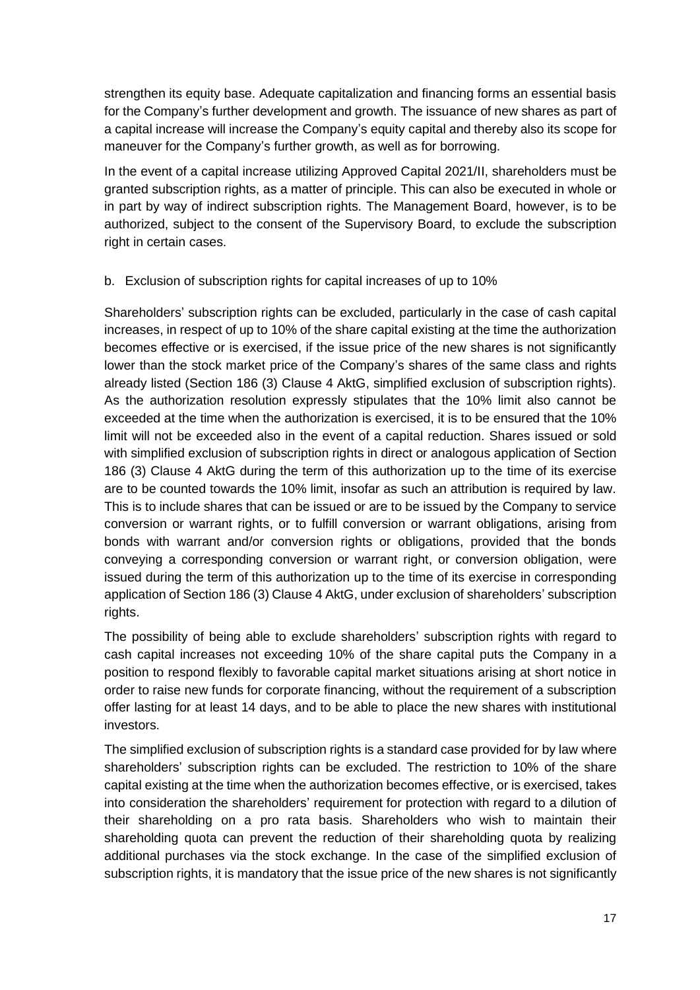strengthen its equity base. Adequate capitalization and financing forms an essential basis for the Company's further development and growth. The issuance of new shares as part of a capital increase will increase the Company's equity capital and thereby also its scope for maneuver for the Company's further growth, as well as for borrowing.

In the event of a capital increase utilizing Approved Capital 2021/II, shareholders must be granted subscription rights, as a matter of principle. This can also be executed in whole or in part by way of indirect subscription rights. The Management Board, however, is to be authorized, subject to the consent of the Supervisory Board, to exclude the subscription right in certain cases.

### b. Exclusion of subscription rights for capital increases of up to 10%

Shareholders' subscription rights can be excluded, particularly in the case of cash capital increases, in respect of up to 10% of the share capital existing at the time the authorization becomes effective or is exercised, if the issue price of the new shares is not significantly lower than the stock market price of the Company's shares of the same class and rights already listed (Section 186 (3) Clause 4 AktG, simplified exclusion of subscription rights). As the authorization resolution expressly stipulates that the 10% limit also cannot be exceeded at the time when the authorization is exercised, it is to be ensured that the 10% limit will not be exceeded also in the event of a capital reduction. Shares issued or sold with simplified exclusion of subscription rights in direct or analogous application of Section 186 (3) Clause 4 AktG during the term of this authorization up to the time of its exercise are to be counted towards the 10% limit, insofar as such an attribution is required by law. This is to include shares that can be issued or are to be issued by the Company to service conversion or warrant rights, or to fulfill conversion or warrant obligations, arising from bonds with warrant and/or conversion rights or obligations, provided that the bonds conveying a corresponding conversion or warrant right, or conversion obligation, were issued during the term of this authorization up to the time of its exercise in corresponding application of Section 186 (3) Clause 4 AktG, under exclusion of shareholders' subscription rights.

The possibility of being able to exclude shareholders' subscription rights with regard to cash capital increases not exceeding 10% of the share capital puts the Company in a position to respond flexibly to favorable capital market situations arising at short notice in order to raise new funds for corporate financing, without the requirement of a subscription offer lasting for at least 14 days, and to be able to place the new shares with institutional investors.

The simplified exclusion of subscription rights is a standard case provided for by law where shareholders' subscription rights can be excluded. The restriction to 10% of the share capital existing at the time when the authorization becomes effective, or is exercised, takes into consideration the shareholders' requirement for protection with regard to a dilution of their shareholding on a pro rata basis. Shareholders who wish to maintain their shareholding quota can prevent the reduction of their shareholding quota by realizing additional purchases via the stock exchange. In the case of the simplified exclusion of subscription rights, it is mandatory that the issue price of the new shares is not significantly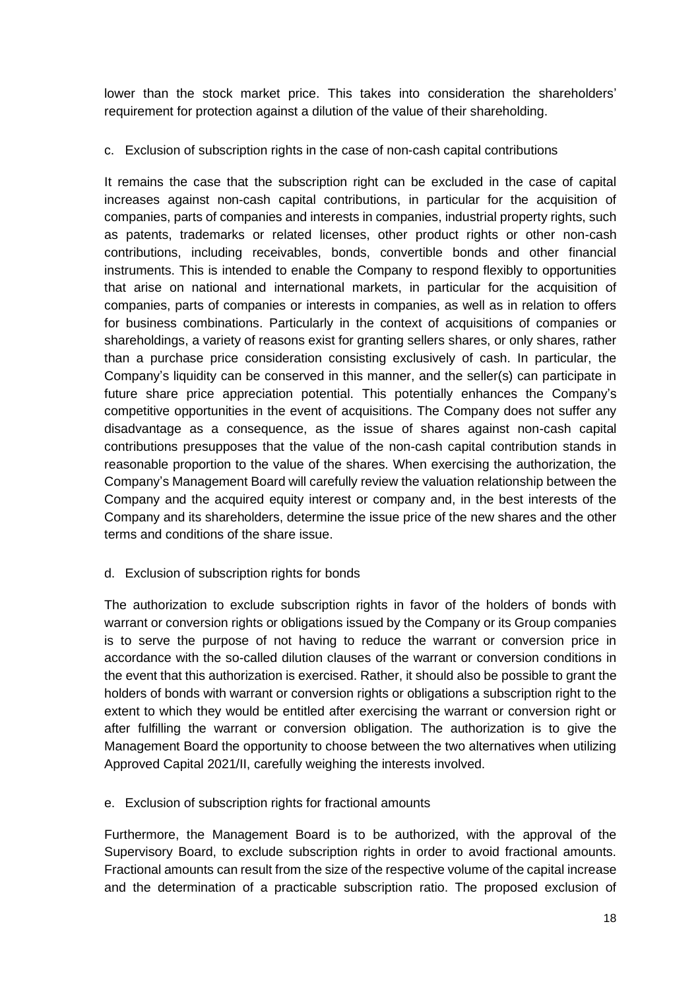lower than the stock market price. This takes into consideration the shareholders' requirement for protection against a dilution of the value of their shareholding.

## c. Exclusion of subscription rights in the case of non-cash capital contributions

It remains the case that the subscription right can be excluded in the case of capital increases against non-cash capital contributions, in particular for the acquisition of companies, parts of companies and interests in companies, industrial property rights, such as patents, trademarks or related licenses, other product rights or other non-cash contributions, including receivables, bonds, convertible bonds and other financial instruments. This is intended to enable the Company to respond flexibly to opportunities that arise on national and international markets, in particular for the acquisition of companies, parts of companies or interests in companies, as well as in relation to offers for business combinations. Particularly in the context of acquisitions of companies or shareholdings, a variety of reasons exist for granting sellers shares, or only shares, rather than a purchase price consideration consisting exclusively of cash. In particular, the Company's liquidity can be conserved in this manner, and the seller(s) can participate in future share price appreciation potential. This potentially enhances the Company's competitive opportunities in the event of acquisitions. The Company does not suffer any disadvantage as a consequence, as the issue of shares against non-cash capital contributions presupposes that the value of the non-cash capital contribution stands in reasonable proportion to the value of the shares. When exercising the authorization, the Company's Management Board will carefully review the valuation relationship between the Company and the acquired equity interest or company and, in the best interests of the Company and its shareholders, determine the issue price of the new shares and the other terms and conditions of the share issue.

#### d. Exclusion of subscription rights for bonds

The authorization to exclude subscription rights in favor of the holders of bonds with warrant or conversion rights or obligations issued by the Company or its Group companies is to serve the purpose of not having to reduce the warrant or conversion price in accordance with the so-called dilution clauses of the warrant or conversion conditions in the event that this authorization is exercised. Rather, it should also be possible to grant the holders of bonds with warrant or conversion rights or obligations a subscription right to the extent to which they would be entitled after exercising the warrant or conversion right or after fulfilling the warrant or conversion obligation. The authorization is to give the Management Board the opportunity to choose between the two alternatives when utilizing Approved Capital 2021/II, carefully weighing the interests involved.

## e. Exclusion of subscription rights for fractional amounts

Furthermore, the Management Board is to be authorized, with the approval of the Supervisory Board, to exclude subscription rights in order to avoid fractional amounts. Fractional amounts can result from the size of the respective volume of the capital increase and the determination of a practicable subscription ratio. The proposed exclusion of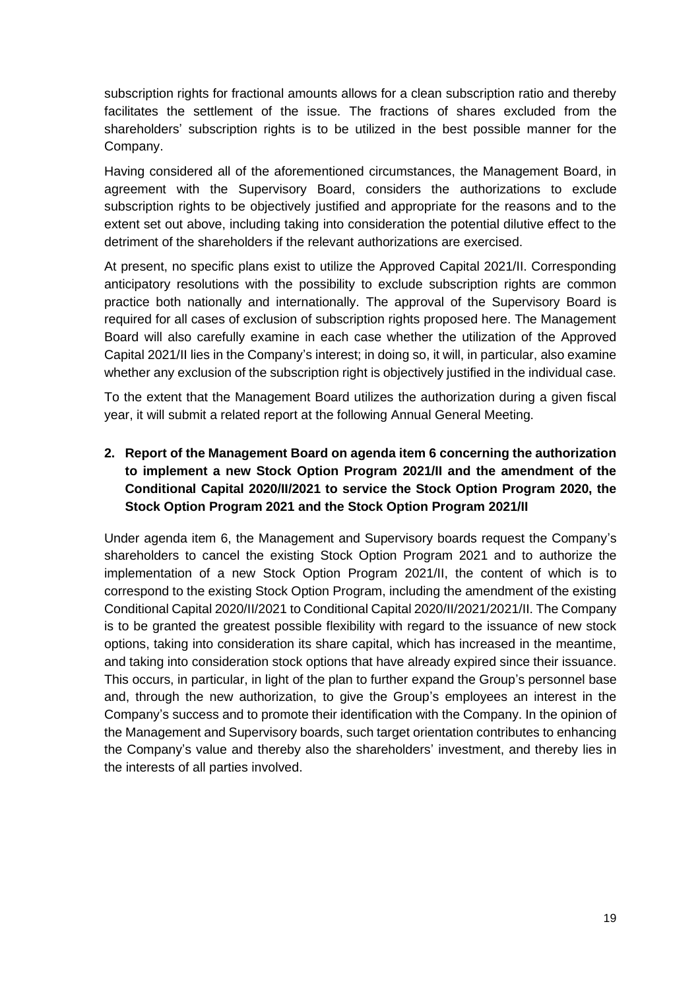subscription rights for fractional amounts allows for a clean subscription ratio and thereby facilitates the settlement of the issue. The fractions of shares excluded from the shareholders' subscription rights is to be utilized in the best possible manner for the Company.

Having considered all of the aforementioned circumstances, the Management Board, in agreement with the Supervisory Board, considers the authorizations to exclude subscription rights to be objectively justified and appropriate for the reasons and to the extent set out above, including taking into consideration the potential dilutive effect to the detriment of the shareholders if the relevant authorizations are exercised.

At present, no specific plans exist to utilize the Approved Capital 2021/II. Corresponding anticipatory resolutions with the possibility to exclude subscription rights are common practice both nationally and internationally. The approval of the Supervisory Board is required for all cases of exclusion of subscription rights proposed here. The Management Board will also carefully examine in each case whether the utilization of the Approved Capital 2021/II lies in the Company's interest; in doing so, it will, in particular, also examine whether any exclusion of the subscription right is objectively justified in the individual case.

To the extent that the Management Board utilizes the authorization during a given fiscal year, it will submit a related report at the following Annual General Meeting.

## **2. Report of the Management Board on agenda item 6 concerning the authorization to implement a new Stock Option Program 2021/II and the amendment of the Conditional Capital 2020/II/2021 to service the Stock Option Program 2020, the Stock Option Program 2021 and the Stock Option Program 2021/II**

Under agenda item 6, the Management and Supervisory boards request the Company's shareholders to cancel the existing Stock Option Program 2021 and to authorize the implementation of a new Stock Option Program 2021/II, the content of which is to correspond to the existing Stock Option Program, including the amendment of the existing Conditional Capital 2020/II/2021 to Conditional Capital 2020/II/2021/2021/II. The Company is to be granted the greatest possible flexibility with regard to the issuance of new stock options, taking into consideration its share capital, which has increased in the meantime, and taking into consideration stock options that have already expired since their issuance. This occurs, in particular, in light of the plan to further expand the Group's personnel base and, through the new authorization, to give the Group's employees an interest in the Company's success and to promote their identification with the Company. In the opinion of the Management and Supervisory boards, such target orientation contributes to enhancing the Company's value and thereby also the shareholders' investment, and thereby lies in the interests of all parties involved.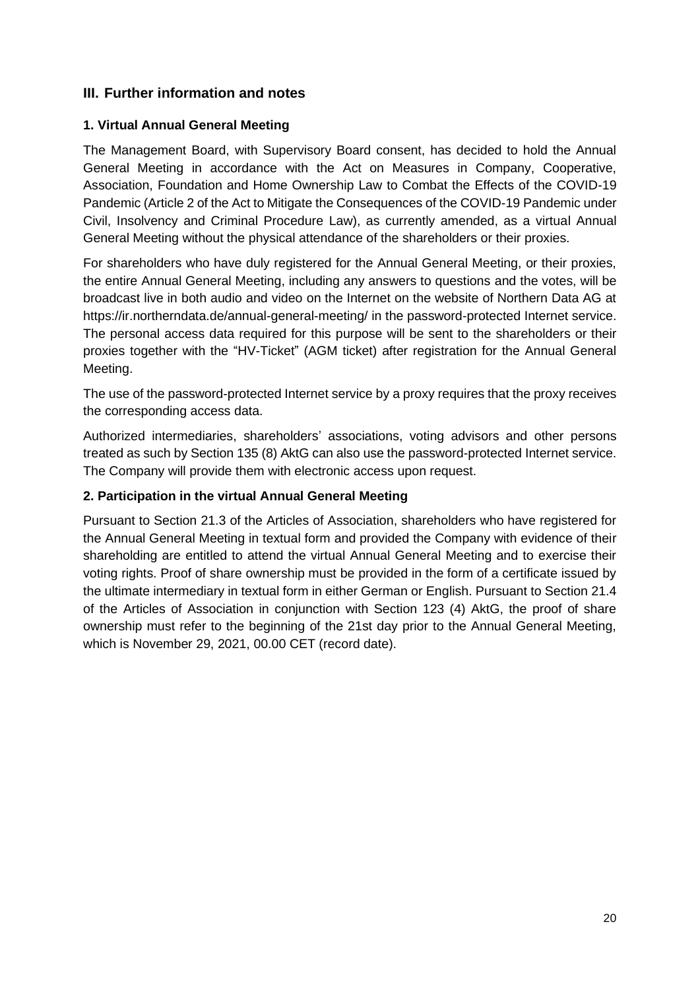## **III. Further information and notes**

### **1. Virtual Annual General Meeting**

The Management Board, with Supervisory Board consent, has decided to hold the Annual General Meeting in accordance with the Act on Measures in Company, Cooperative, Association, Foundation and Home Ownership Law to Combat the Effects of the COVID-19 Pandemic (Article 2 of the Act to Mitigate the Consequences of the COVID-19 Pandemic under Civil, Insolvency and Criminal Procedure Law), as currently amended, as a virtual Annual General Meeting without the physical attendance of the shareholders or their proxies.

For shareholders who have duly registered for the Annual General Meeting, or their proxies, the entire Annual General Meeting, including any answers to questions and the votes, will be broadcast live in both audio and video on the Internet on the website of Northern Data AG at https://ir.northerndata.de/annual-general-meeting/ in the password-protected Internet service. The personal access data required for this purpose will be sent to the shareholders or their proxies together with the "HV-Ticket" (AGM ticket) after registration for the Annual General Meeting.

The use of the password-protected Internet service by a proxy requires that the proxy receives the corresponding access data.

Authorized intermediaries, shareholders' associations, voting advisors and other persons treated as such by Section 135 (8) AktG can also use the password-protected Internet service. The Company will provide them with electronic access upon request.

#### **2. Participation in the virtual Annual General Meeting**

Pursuant to Section 21.3 of the Articles of Association, shareholders who have registered for the Annual General Meeting in textual form and provided the Company with evidence of their shareholding are entitled to attend the virtual Annual General Meeting and to exercise their voting rights. Proof of share ownership must be provided in the form of a certificate issued by the ultimate intermediary in textual form in either German or English. Pursuant to Section 21.4 of the Articles of Association in conjunction with Section 123 (4) AktG, the proof of share ownership must refer to the beginning of the 21st day prior to the Annual General Meeting, which is November 29, 2021, 00.00 CET (record date).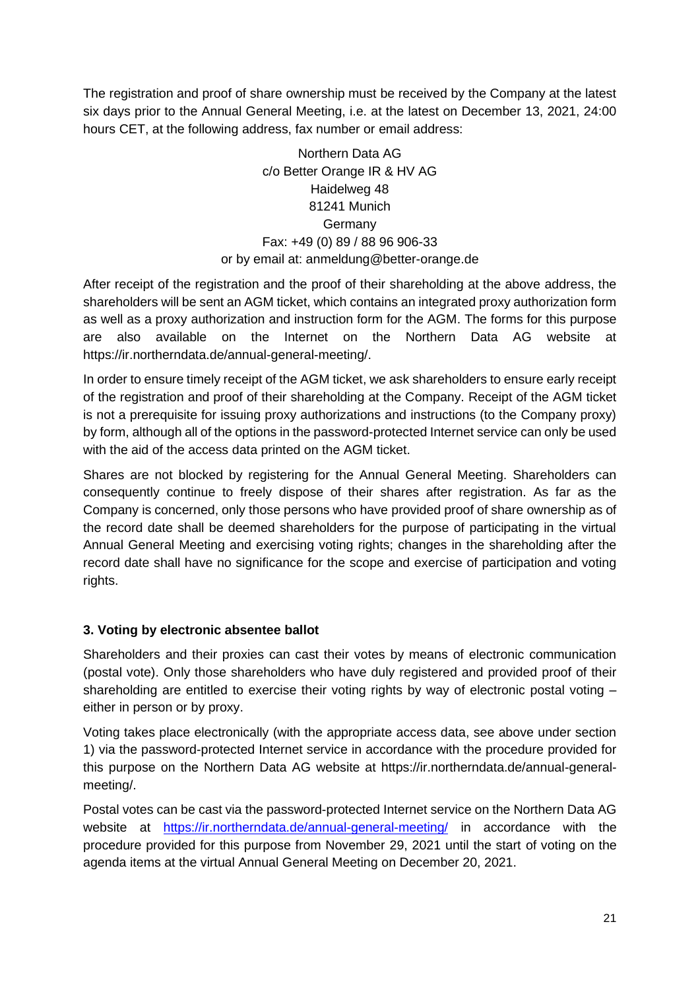The registration and proof of share ownership must be received by the Company at the latest six days prior to the Annual General Meeting, i.e. at the latest on December 13, 2021, 24:00 hours CET, at the following address, fax number or email address:

> Northern Data AG c/o Better Orange IR & HV AG Haidelweg 48 81241 Munich Germany Fax: +49 (0) 89 / 88 96 906-33 or by email at: [anmeldung@better-orange.de](mailto:anmeldung@better-orange.de)

After receipt of the registration and the proof of their shareholding at the above address, the shareholders will be sent an AGM ticket, which contains an integrated proxy authorization form as well as a proxy authorization and instruction form for the AGM. The forms for this purpose are also available on the Internet on the Northern Data AG website at https://ir.northerndata.de/annual-general-meeting/.

In order to ensure timely receipt of the AGM ticket, we ask shareholders to ensure early receipt of the registration and proof of their shareholding at the Company. Receipt of the AGM ticket is not a prerequisite for issuing proxy authorizations and instructions (to the Company proxy) by form, although all of the options in the password-protected Internet service can only be used with the aid of the access data printed on the AGM ticket.

Shares are not blocked by registering for the Annual General Meeting. Shareholders can consequently continue to freely dispose of their shares after registration. As far as the Company is concerned, only those persons who have provided proof of share ownership as of the record date shall be deemed shareholders for the purpose of participating in the virtual Annual General Meeting and exercising voting rights; changes in the shareholding after the record date shall have no significance for the scope and exercise of participation and voting rights.

## **3. Voting by electronic absentee ballot**

Shareholders and their proxies can cast their votes by means of electronic communication (postal vote). Only those shareholders who have duly registered and provided proof of their shareholding are entitled to exercise their voting rights by way of electronic postal voting – either in person or by proxy.

Voting takes place electronically (with the appropriate access data, see above under section 1) via the password-protected Internet service in accordance with the procedure provided for this purpose on the Northern Data AG website at https://ir.northerndata.de/annual-generalmeeting/.

Postal votes can be cast via the password-protected Internet service on the Northern Data AG website at <https://ir.northerndata.de/annual-general-meeting/> in accordance with the procedure provided for this purpose from November 29, 2021 until the start of voting on the agenda items at the virtual Annual General Meeting on December 20, 2021.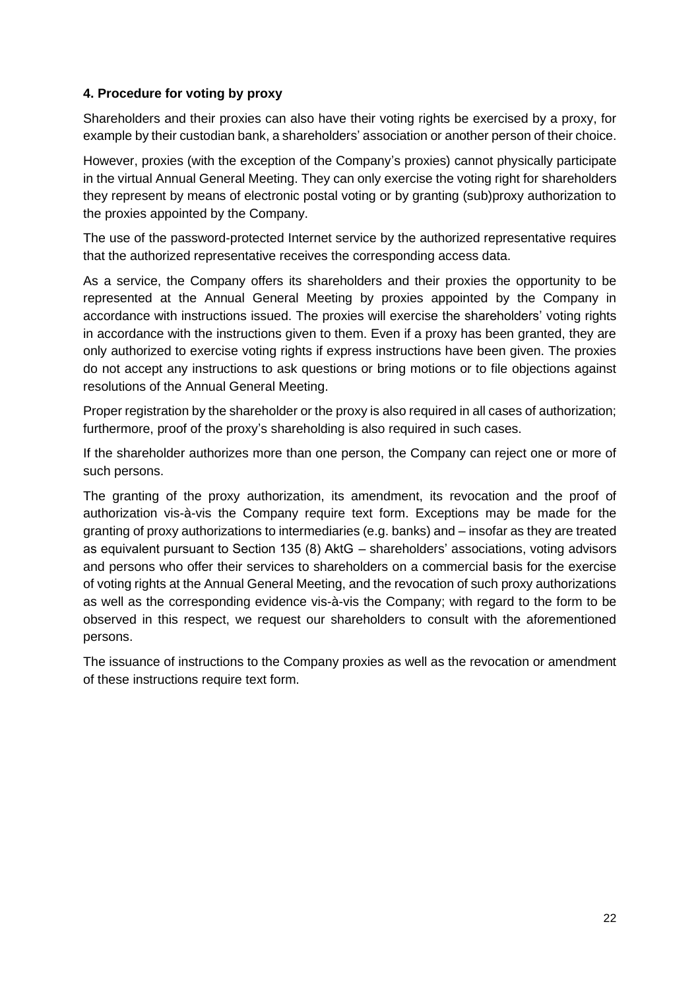## **4. Procedure for voting by proxy**

Shareholders and their proxies can also have their voting rights be exercised by a proxy, for example by their custodian bank, a shareholders' association or another person of their choice.

However, proxies (with the exception of the Company's proxies) cannot physically participate in the virtual Annual General Meeting. They can only exercise the voting right for shareholders they represent by means of electronic postal voting or by granting (sub)proxy authorization to the proxies appointed by the Company.

The use of the password-protected Internet service by the authorized representative requires that the authorized representative receives the corresponding access data.

As a service, the Company offers its shareholders and their proxies the opportunity to be represented at the Annual General Meeting by proxies appointed by the Company in accordance with instructions issued. The proxies will exercise the shareholders' voting rights in accordance with the instructions given to them. Even if a proxy has been granted, they are only authorized to exercise voting rights if express instructions have been given. The proxies do not accept any instructions to ask questions or bring motions or to file objections against resolutions of the Annual General Meeting.

Proper registration by the shareholder or the proxy is also required in all cases of authorization; furthermore, proof of the proxy's shareholding is also required in such cases.

If the shareholder authorizes more than one person, the Company can reject one or more of such persons.

The granting of the proxy authorization, its amendment, its revocation and the proof of authorization vis-à-vis the Company require text form. Exceptions may be made for the granting of proxy authorizations to intermediaries (e.g. banks) and – insofar as they are treated as equivalent pursuant to Section 135 (8) AktG  – shareholders' associations, voting advisors and persons who offer their services to shareholders on a commercial basis for the exercise of voting rights at the Annual General Meeting, and the revocation of such proxy authorizations as well as the corresponding evidence vis-à-vis the Company; with regard to the form to be observed in this respect, we request our shareholders to consult with the aforementioned persons.

The issuance of instructions to the Company proxies as well as the revocation or amendment of these instructions require text form.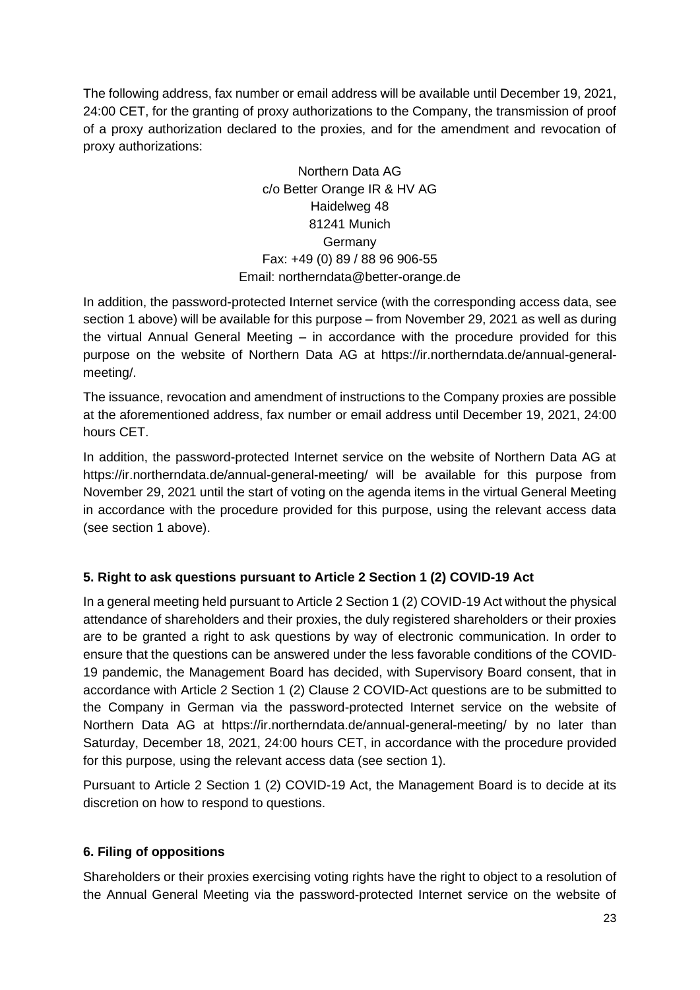The following address, fax number or email address will be available until December 19, 2021, 24:00 CET, for the granting of proxy authorizations to the Company, the transmission of proof of a proxy authorization declared to the proxies, and for the amendment and revocation of proxy authorizations:

> Northern Data AG c/o Better Orange IR & HV AG Haidelweg 48 81241 Munich Germany Fax: +49 (0) 89 / 88 96 906-55 Email: northerndat[a@better-orange.de](mailto:anmeldung@better-orange.de)

In addition, the password-protected Internet service (with the corresponding access data, see section 1 above) will be available for this purpose – from November 29, 2021 as well as during the virtual Annual General Meeting – in accordance with the procedure provided for this purpose on the website of Northern Data AG at https://ir.northerndata.de/annual-generalmeeting/.

The issuance, revocation and amendment of instructions to the Company proxies are possible at the aforementioned address, fax number or email address until December 19, 2021, 24:00 hours CET.

In addition, the password-protected Internet service on the website of Northern Data AG at https://ir.northerndata.de/annual-general-meeting/ will be available for this purpose from November 29, 2021 until the start of voting on the agenda items in the virtual General Meeting in accordance with the procedure provided for this purpose, using the relevant access data (see section 1 above).

# **5. Right to ask questions pursuant to Article 2 Section 1 (2) COVID-19 Act**

In a general meeting held pursuant to Article 2 Section 1 (2) COVID-19 Act without the physical attendance of shareholders and their proxies, the duly registered shareholders or their proxies are to be granted a right to ask questions by way of electronic communication. In order to ensure that the questions can be answered under the less favorable conditions of the COVID-19 pandemic, the Management Board has decided, with Supervisory Board consent, that in accordance with Article 2 Section 1 (2) Clause 2 COVID-Act questions are to be submitted to the Company in German via the password-protected Internet service on the website of Northern Data AG at https://ir.northerndata.de/annual-general-meeting/ by no later than Saturday, December 18, 2021, 24:00 hours CET, in accordance with the procedure provided for this purpose, using the relevant access data (see section 1).

Pursuant to Article 2 Section 1 (2) COVID-19 Act, the Management Board is to decide at its discretion on how to respond to questions.

# **6. Filing of oppositions**

Shareholders or their proxies exercising voting rights have the right to object to a resolution of the Annual General Meeting via the password-protected Internet service on the website of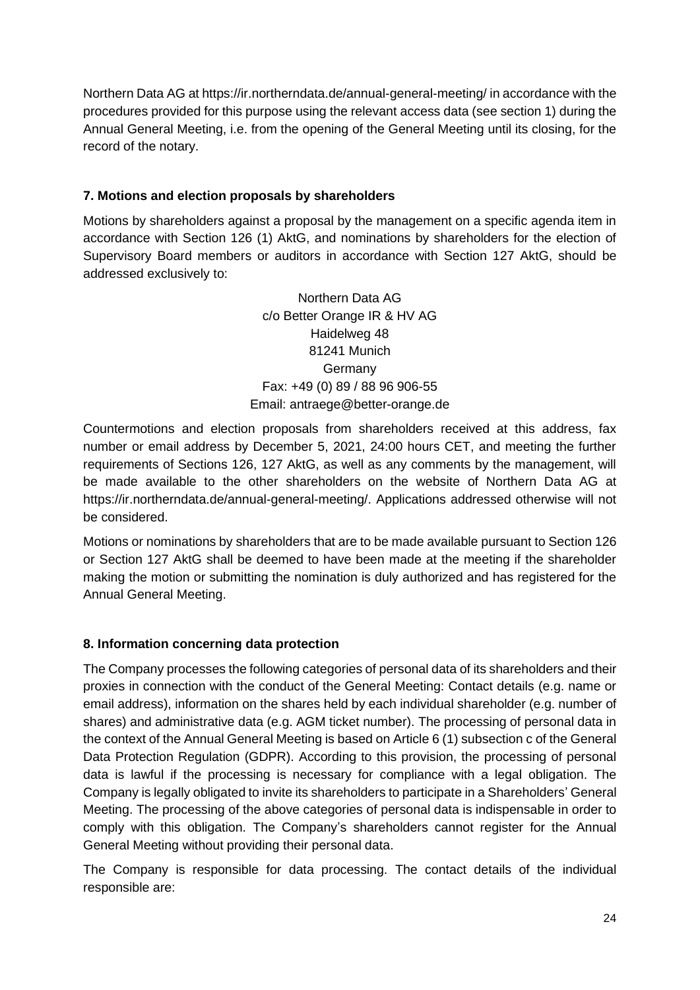Northern Data AG at https://ir.northerndata.de/annual-general-meeting/ in accordance with the procedures provided for this purpose using the relevant access data (see section 1) during the Annual General Meeting, i.e. from the opening of the General Meeting until its closing, for the record of the notary.

## **7. Motions and election proposals by shareholders**

Motions by shareholders against a proposal by the management on a specific agenda item in accordance with Section 126 (1) AktG, and nominations by shareholders for the election of Supervisory Board members or auditors in accordance with Section 127 AktG, should be addressed exclusively to:

> Northern Data AG c/o Better Orange IR & HV AG Haidelweg 48 81241 Munich Germany Fax: +49 (0) 89 / 88 96 906-55 Email: antraege@better-orange.de

Countermotions and election proposals from shareholders received at this address, fax number or email address by December 5, 2021, 24:00 hours CET, and meeting the further requirements of Sections 126, 127 AktG, as well as any comments by the management, will be made available to the other shareholders on the website of Northern Data AG at https://ir.northerndata.de/annual-general-meeting/. Applications addressed otherwise will not be considered.

Motions or nominations by shareholders that are to be made available pursuant to Section 126 or Section 127 AktG shall be deemed to have been made at the meeting if the shareholder making the motion or submitting the nomination is duly authorized and has registered for the Annual General Meeting.

## **8. Information concerning data protection**

The Company processes the following categories of personal data of its shareholders and their proxies in connection with the conduct of the General Meeting: Contact details (e.g. name or email address), information on the shares held by each individual shareholder (e.g. number of shares) and administrative data (e.g. AGM ticket number). The processing of personal data in the context of the Annual General Meeting is based on Article 6 (1) subsection c of the General Data Protection Regulation (GDPR). According to this provision, the processing of personal data is lawful if the processing is necessary for compliance with a legal obligation. The Company is legally obligated to invite its shareholders to participate in a Shareholders' General Meeting. The processing of the above categories of personal data is indispensable in order to comply with this obligation. The Company's shareholders cannot register for the Annual General Meeting without providing their personal data.

The Company is responsible for data processing. The contact details of the individual responsible are: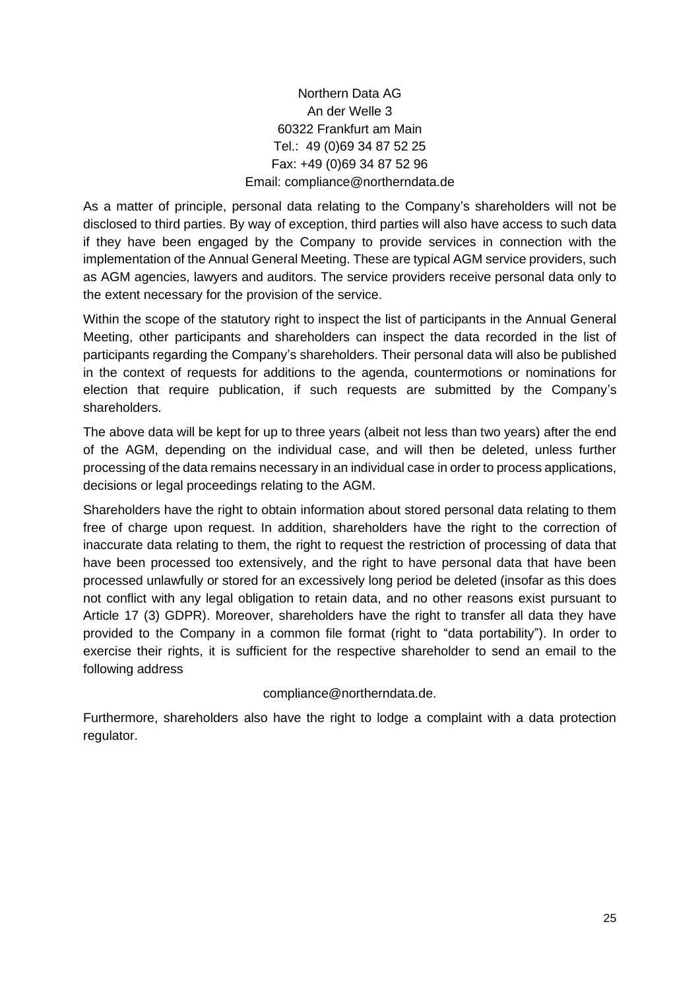# Northern Data AG An der Welle 3 60322 Frankfurt am Main Tel.: 49 (0)69 34 87 52 25 Fax: +49 (0)69 34 87 52 96 Email: compliance@northerndata.de

As a matter of principle, personal data relating to the Company's shareholders will not be disclosed to third parties. By way of exception, third parties will also have access to such data if they have been engaged by the Company to provide services in connection with the implementation of the Annual General Meeting. These are typical AGM service providers, such as AGM agencies, lawyers and auditors. The service providers receive personal data only to the extent necessary for the provision of the service.

Within the scope of the statutory right to inspect the list of participants in the Annual General Meeting, other participants and shareholders can inspect the data recorded in the list of participants regarding the Company's shareholders. Their personal data will also be published in the context of requests for additions to the agenda, countermotions or nominations for election that require publication, if such requests are submitted by the Company's shareholders.

The above data will be kept for up to three years (albeit not less than two years) after the end of the AGM, depending on the individual case, and will then be deleted, unless further processing of the data remains necessary in an individual case in order to process applications, decisions or legal proceedings relating to the AGM.

Shareholders have the right to obtain information about stored personal data relating to them free of charge upon request. In addition, shareholders have the right to the correction of inaccurate data relating to them, the right to request the restriction of processing of data that have been processed too extensively, and the right to have personal data that have been processed unlawfully or stored for an excessively long period be deleted (insofar as this does not conflict with any legal obligation to retain data, and no other reasons exist pursuant to Article 17 (3) GDPR). Moreover, shareholders have the right to transfer all data they have provided to the Company in a common file format (right to "data portability"). In order to exercise their rights, it is sufficient for the respective shareholder to send an email to the following address

## compliance@northerndata.de.

Furthermore, shareholders also have the right to lodge a complaint with a data protection regulator.